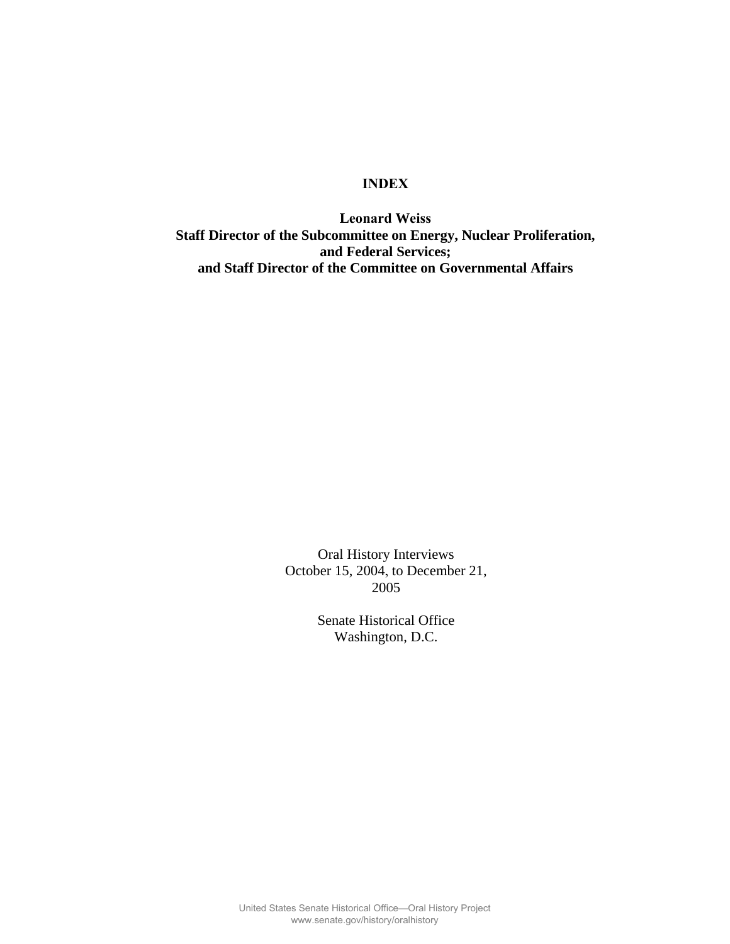## **INDEX**

**Leonard Weiss Staff Director of the Subcommittee on Energy, Nuclear Proliferation, and Federal Services; and Staff Director of the Committee on Governmental Affairs** 

> Oral History Interviews October 15, 2004, to December 21, 2005

> > Senate Historical Office Washington, D.C.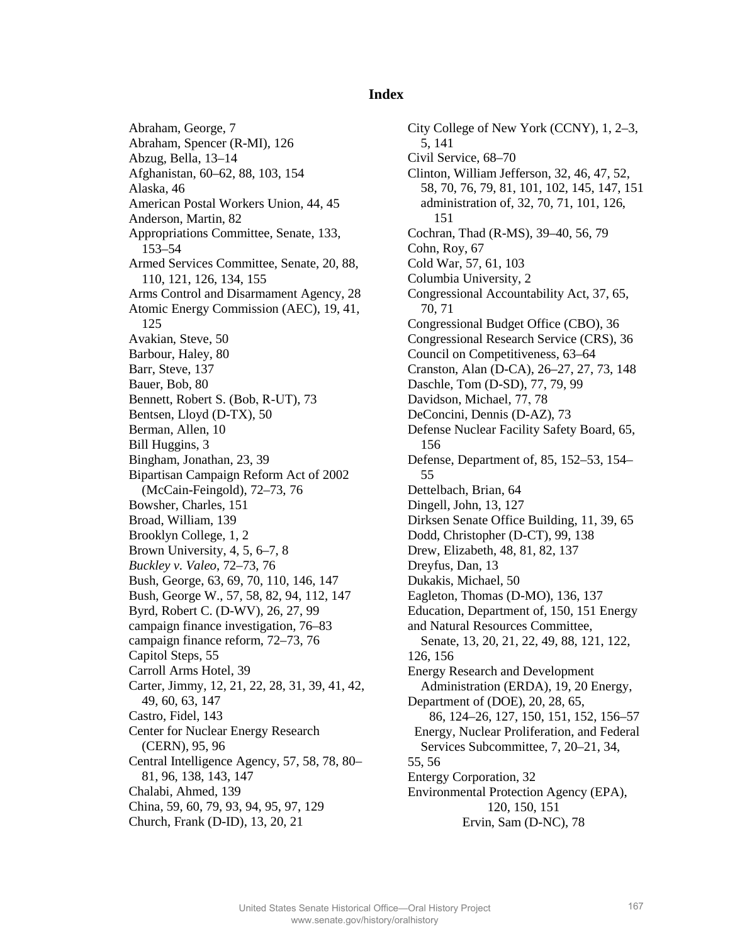## **Index**

Abraham, George, 7 Abraham, Spencer (R-MI), 126 Abzug, Bella, 13–14 Afghanistan, 60–62, 88, 103, 154 Alaska, 46 American Postal Workers Union, 44, 45 Anderson, Martin, 82 Appropriations Committee, Senate, 133, 153–54 Armed Services Committee, Senate, 20, 88, 110, 121, 126, 134, 155 Arms Control and Disarmament Agency, 28 Atomic Energy Commission (AEC), 19, 41, 125 Avakian, Steve, 50 Barbour, Haley, 80 Barr, Steve, 137 Bauer, Bob, 80 Bennett, Robert S. (Bob, R-UT), 73 Bentsen, Lloyd (D-TX), 50 Berman, Allen, 10 Bill Huggins, 3 Bingham, Jonathan, 23, 39 Bipartisan Campaign Reform Act of 2002 (McCain-Feingold), 72–73, 76 Bowsher, Charles, 151 Broad, William, 139 Brooklyn College, 1, 2 Brown University, 4, 5, 6–7, 8 *Buckley v. Valeo*, 72–73, 76 Bush, George, 63, 69, 70, 110, 146, 147 Bush, George W., 57, 58, 82, 94, 112, 147 Byrd, Robert C. (D-WV), 26, 27, 99 campaign finance investigation, 76–83 campaign finance reform, 72–73, 76 Capitol Steps, 55 Carroll Arms Hotel, 39 Carter, Jimmy, 12, 21, 22, 28, 31, 39, 41, 42, 49, 60, 63, 147 Castro, Fidel, 143 Center for Nuclear Energy Research (CERN), 95, 96 Central Intelligence Agency, 57, 58, 78, 80– 81, 96, 138, 143, 147 Chalabi, Ahmed, 139 China, 59, 60, 79, 93, 94, 95, 97, 129 Church, Frank (D-ID), 13, 20, 21

City College of New York (CCNY), 1, 2–3, 5, 141 Civil Service, 68–70 Clinton, William Jefferson, 32, 46, 47, 52, 58, 70, 76, 79, 81, 101, 102, 145, 147, 151 administration of, 32, 70, 71, 101, 126, 151 Cochran, Thad (R-MS), 39–40, 56, 79 Cohn, Roy, 67 Cold War, 57, 61, 103 Columbia University, 2 Congressional Accountability Act, 37, 65, 70, 71 Congressional Budget Office (CBO), 36 Congressional Research Service (CRS), 36 Council on Competitiveness, 63–64 Cranston, Alan (D-CA), 26–27, 27, 73, 148 Daschle, Tom (D-SD), 77, 79, 99 Davidson, Michael, 77, 78 DeConcini, Dennis (D-AZ), 73 Defense Nuclear Facility Safety Board, 65, 156 Defense, Department of, 85, 152–53, 154– 55 Dettelbach, Brian, 64 Dingell, John, 13, 127 Dirksen Senate Office Building, 11, 39, 65 Dodd, Christopher (D-CT), 99, 138 Drew, Elizabeth, 48, 81, 82, 137 Dreyfus, Dan, 13 Dukakis, Michael, 50 Eagleton, Thomas (D-MO), 136, 137 Education, Department of, 150, 151 Energy and Natural Resources Committee, Senate, 13, 20, 21, 22, 49, 88, 121, 122, 126, 156 Energy Research and Development Administration (ERDA), 19, 20 Energy, Department of (DOE), 20, 28, 65, 86, 124–26, 127, 150, 151, 152, 156–57 Energy, Nuclear Proliferation, and Federal Services Subcommittee, 7, 20–21, 34, 55, 56 Entergy Corporation, 32 Environmental Protection Agency (EPA), 120, 150, 151 Ervin, Sam (D-NC), 78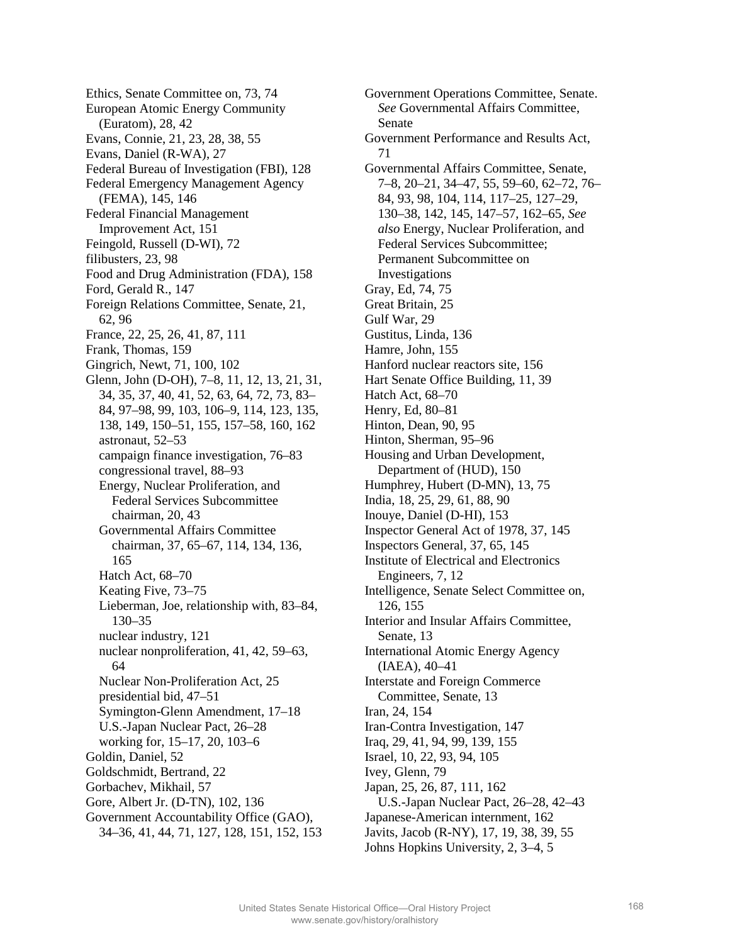Ethics, Senate Committee on, 73, 74 European Atomic Energy Community (Euratom), 28, 42 Evans, Connie, 21, 23, 28, 38, 55 Evans, Daniel (R-WA), 27 Federal Bureau of Investigation (FBI), 128 Federal Emergency Management Agency (FEMA), 145, 146 Federal Financial Management Improvement Act, 151 Feingold, Russell (D-WI), 72 filibusters, 23, 98 Food and Drug Administration (FDA), 158 Ford, Gerald R., 147 Foreign Relations Committee, Senate, 21, 62, 96 France, 22, 25, 26, 41, 87, 111 Frank, Thomas, 159 Gingrich, Newt, 71, 100, 102 Glenn, John (D-OH), 7–8, 11, 12, 13, 21, 31, 34, 35, 37, 40, 41, 52, 63, 64, 72, 73, 83– 84, 97–98, 99, 103, 106–9, 114, 123, 135, 138, 149, 150–51, 155, 157–58, 160, 162 astronaut, 52–53 campaign finance investigation, 76–83 congressional travel, 88–93 Energy, Nuclear Proliferation, and Federal Services Subcommittee chairman, 20, 43 Governmental Affairs Committee chairman, 37, 65–67, 114, 134, 136, 165 Hatch Act, 68–70 Keating Five, 73–75 Lieberman, Joe, relationship with, 83–84, 130–35 nuclear industry, 121 nuclear nonproliferation, 41, 42, 59–63, 64 Nuclear Non-Proliferation Act, 25 presidential bid, 47–51 Symington-Glenn Amendment, 17–18 U.S.-Japan Nuclear Pact, 26–28 working for, 15–17, 20, 103–6 Goldin, Daniel, 52 Goldschmidt, Bertrand, 22 Gorbachev, Mikhail, 57 Gore, Albert Jr. (D-TN), 102, 136 Government Accountability Office (GAO), 34–36, 41, 44, 71, 127, 128, 151, 152, 153 Government Operations Committee, Senate. *See* Governmental Affairs Committee, Senate Government Performance and Results Act, 71 Governmental Affairs Committee, Senate, 7–8, 20–21, 34–47, 55, 59–60, 62–72, 76– 84, 93, 98, 104, 114, 117–25, 127–29, 130–38, 142, 145, 147–57, 162–65, *See also* Energy, Nuclear Proliferation, and Federal Services Subcommittee; Permanent Subcommittee on Investigations Gray, Ed, 74, 75 Great Britain, 25 Gulf War, 29 Gustitus, Linda, 136 Hamre, John, 155 Hanford nuclear reactors site, 156 Hart Senate Office Building, 11, 39 Hatch Act, 68–70 Henry, Ed, 80–81 Hinton, Dean, 90, 95 Hinton, Sherman, 95–96 Housing and Urban Development, Department of (HUD), 150 Humphrey, Hubert (D-MN), 13, 75 India, 18, 25, 29, 61, 88, 90 Inouye, Daniel (D-HI), 153 Inspector General Act of 1978, 37, 145 Inspectors General, 37, 65, 145 Institute of Electrical and Electronics Engineers, 7, 12 Intelligence, Senate Select Committee on, 126, 155 Interior and Insular Affairs Committee, Senate, 13 International Atomic Energy Agency (IAEA), 40–41 Interstate and Foreign Commerce Committee, Senate, 13 Iran, 24, 154 Iran-Contra Investigation, 147 Iraq, 29, 41, 94, 99, 139, 155 Israel, 10, 22, 93, 94, 105 Ivey, Glenn, 79 Japan, 25, 26, 87, 111, 162 U.S.-Japan Nuclear Pact, 26–28, 42–43 Japanese-American internment, 162 Javits, Jacob (R-NY), 17, 19, 38, 39, 55 Johns Hopkins University, 2, 3–4, 5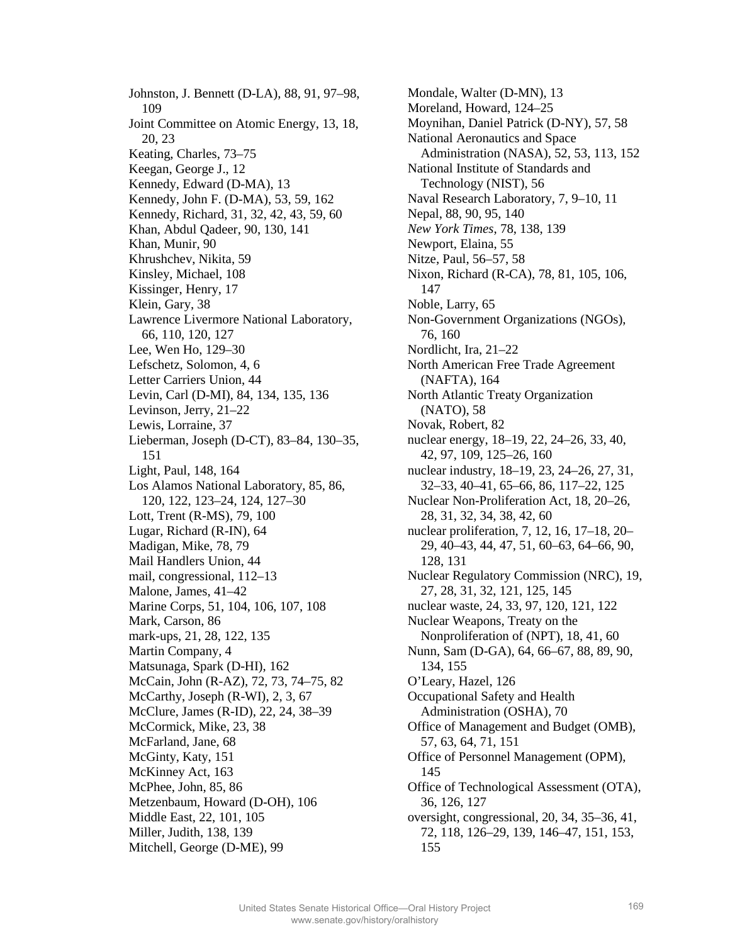Johnston, J. Bennett (D-LA), 88, 91, 97–98, 109 Joint Committee on Atomic Energy, 13, 18, 20, 23 Keating, Charles, 73–75 Keegan, George J., 12 Kennedy, Edward (D-MA), 13 Kennedy, John F. (D-MA), 53, 59, 162 Kennedy, Richard, 31, 32, 42, 43, 59, 60 Khan, Abdul Qadeer, 90, 130, 141 Khan, Munir, 90 Khrushchev, Nikita, 59 Kinsley, Michael, 108 Kissinger, Henry, 17 Klein, Gary, 38 Lawrence Livermore National Laboratory, 66, 110, 120, 127 Lee, Wen Ho, 129–30 Lefschetz, Solomon, 4, 6 Letter Carriers Union, 44 Levin, Carl (D-MI), 84, 134, 135, 136 Levinson, Jerry, 21–22 Lewis, Lorraine, 37 Lieberman, Joseph (D-CT), 83–84, 130–35, 151 Light, Paul, 148, 164 Los Alamos National Laboratory, 85, 86, 120, 122, 123–24, 124, 127–30 Lott, Trent (R-MS), 79, 100 Lugar, Richard (R-IN), 64 Madigan, Mike, 78, 79 Mail Handlers Union, 44 mail, congressional, 112–13 Malone, James, 41–42 Marine Corps, 51, 104, 106, 107, 108 Mark, Carson, 86 mark-ups, 21, 28, 122, 135 Martin Company, 4 Matsunaga, Spark (D-HI), 162 McCain, John (R-AZ), 72, 73, 74–75, 82 McCarthy, Joseph (R-WI), 2, 3, 67 McClure, James (R-ID), 22, 24, 38–39 McCormick, Mike, 23, 38 McFarland, Jane, 68 McGinty, Katy, 151 McKinney Act, 163 McPhee, John, 85, 86 Metzenbaum, Howard (D-OH), 106 Middle East, 22, 101, 105 Miller, Judith, 138, 139 Mitchell, George (D-ME), 99

Mondale, Walter (D-MN), 13 Moreland, Howard, 124–25 Moynihan, Daniel Patrick (D-NY), 57, 58 National Aeronautics and Space Administration (NASA), 52, 53, 113, 152 National Institute of Standards and Technology (NIST), 56 Naval Research Laboratory, 7, 9–10, 11 Nepal, 88, 90, 95, 140 *New York Times*, 78, 138, 139 Newport, Elaina, 55 Nitze, Paul, 56–57, 58 Nixon, Richard (R-CA), 78, 81, 105, 106, 147 Noble, Larry, 65 Non-Government Organizations (NGOs), 76, 160 Nordlicht, Ira, 21–22 North American Free Trade Agreement (NAFTA), 164 North Atlantic Treaty Organization (NATO), 58 Novak, Robert, 82 nuclear energy, 18–19, 22, 24–26, 33, 40, 42, 97, 109, 125–26, 160 nuclear industry, 18–19, 23, 24–26, 27, 31, 32–33, 40–41, 65–66, 86, 117–22, 125 Nuclear Non-Proliferation Act, 18, 20–26, 28, 31, 32, 34, 38, 42, 60 nuclear proliferation, 7, 12, 16, 17–18, 20– 29, 40–43, 44, 47, 51, 60–63, 64–66, 90, 128, 131 Nuclear Regulatory Commission (NRC), 19, 27, 28, 31, 32, 121, 125, 145 nuclear waste, 24, 33, 97, 120, 121, 122 Nuclear Weapons, Treaty on the Nonproliferation of (NPT), 18, 41, 60 Nunn, Sam (D-GA), 64, 66–67, 88, 89, 90, 134, 155 O'Leary, Hazel, 126 Occupational Safety and Health Administration (OSHA), 70 Office of Management and Budget (OMB), 57, 63, 64, 71, 151 Office of Personnel Management (OPM), 145 Office of Technological Assessment (OTA), 36, 126, 127 oversight, congressional, 20, 34, 35–36, 41, 72, 118, 126–29, 139, 146–47, 151, 153, 155